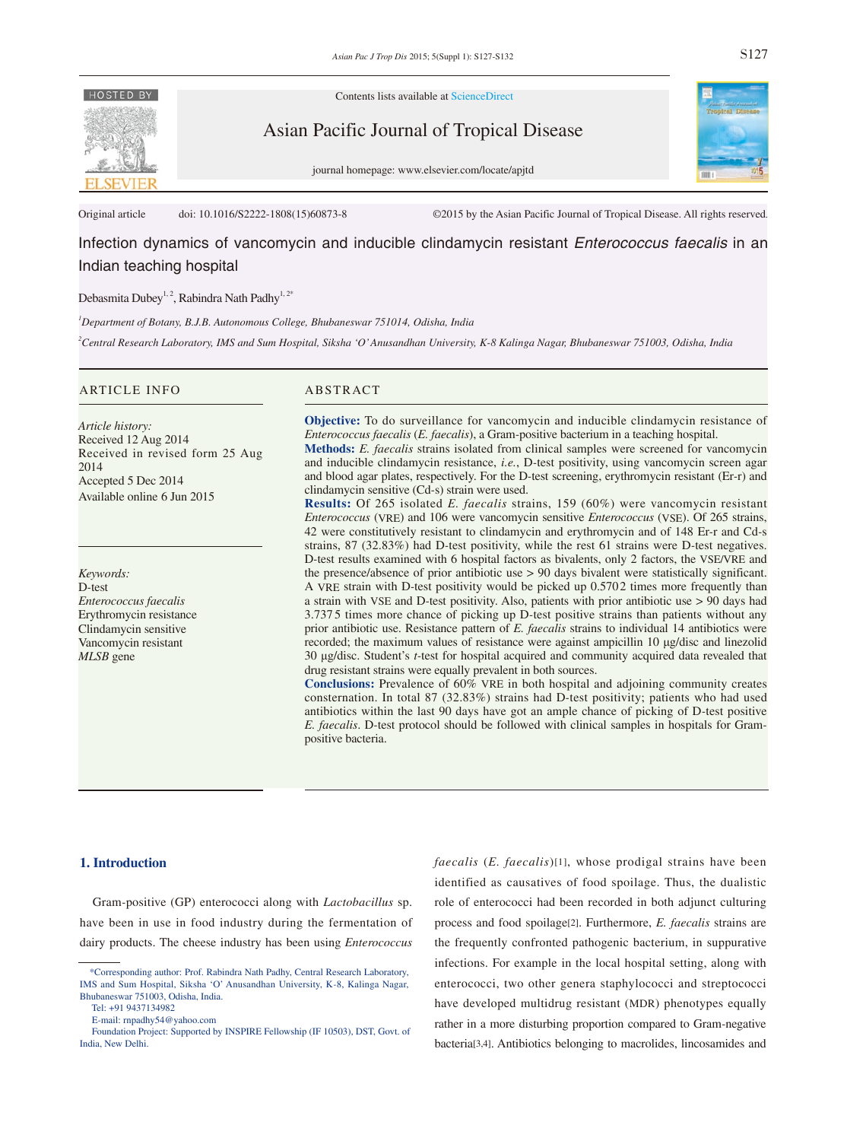

Contents lists available at ScienceDirect

Asian Pacific Journal of Tropical Disease

journal homepage: www.elsevier.com/locate/apjtd



Original article doi: 10.1016/S2222-1808(15)60873-8 ©2015 by the Asian Pacific Journal of Tropical Disease. All rights reserved.

# Infection dynamics of vancomycin and inducible clindamycin resistant *Enterococcus faecalis* in an Indian teaching hospital

Debasmita Dubey<sup>1, 2</sup>, Rabindra Nath Padhy<sup>1, 2\*</sup>

*1 Department of Botany, B.J.B. Autonomous College, Bhubaneswar 751014, Odisha, India*

*2 Central Research Laboratory, IMS and Sum Hospital, Siksha 'O' Anusandhan University, K-8 Kalinga Nagar, Bhubaneswar 751003, Odisha, India* 

#### ARTICLE INFO ABSTRACT

*Article history:* Received 12 Aug 2014 Received in revised form 25 Aug 2014 Accepted 5 Dec 2014 Available online 6 Jun 2015

*Keywords:* D*-*test *Enterococcus faecalis* Erythromycin resistance Clindamycin sensitive Vancomycin resistant *MLSB* gene

**Objective:** To do surveillance for vancomycin and inducible clindamycin resistance of *Enterococcus faecalis* (*E. faecalis*), a Gram*-*positive bacterium in a teaching hospital. **Methods:** *E. faecalis* strains isolated from clinical samples were screened for vancomycin

and inducible clindamycin resistance, *i.e.*, D*-*test positivity, using vancomycin screen agar and blood agar plates, respectively. For the D*-*test screening, erythromycin resistant (Er*-*r) and clindamycin sensitive (Cd*-*s) strain were used.

**Results:** Of 265 isolated *E. faecalis* strains, 159 (60%) were vancomycin resistant *Enterococcus* (VRE) and 106 were vancomycin sensitive *Enterococcus* (VSE). Of 265 strains, 42 were constitutively resistant to clindamycin and erythromycin and of 148 Er*-*r and Cd*-*s strains, 87 (32.83%) had D*-*test positivity, while the rest 61 strains were D*-*test negatives. D*-*test results examined with 6 hospital factors as bivalents, only 2 factors, the VSE/VRE and the presence/absence of prior antibiotic use > 90 days bivalent were statistically significant. A VRE strain with D*-*test positivity would be picked up 0.5702 times more frequently than a strain with VSE and D*-*test positivity. Also, patients with prior antibiotic use > 90 days had 3.737 5 times more chance of picking up D*-*test positive strains than patients without any prior antibiotic use. Resistance pattern of *E. faecalis* strains to individual 14 antibiotics were recorded; the maximum values of resistance were against ampicillin 10 μg/disc and linezolid 30 μg/disc. Student's *t-*test for hospital acquired and community acquired data revealed that drug resistant strains were equally prevalent in both sources.

**Conclusions:** Prevalence of 60% VRE in both hospital and adjoining community creates consternation. In total 87 (32.83%) strains had D*-*test positivity; patients who had used antibiotics within the last 90 days have got an ample chance of picking of D*-*test positive *E. faecalis*. D*-*test protocol should be followed with clinical samples in hospitals for Grampositive bacteria.

#### **1. Introduction**

 Gram*-*positive (GP) enterococci along with *Lactobacillus* sp. have been in use in food industry during the fermentation of dairy products. The cheese industry has been using *Enterococcus* 

*faecalis* (*E. faecalis*)[1], whose prodigal strains have been identified as causatives of food spoilage. Thus, the dualistic role of enterococci had been recorded in both adjunct culturing process and food spoilage[2]. Furthermore, *E. faecalis* strains are the frequently confronted pathogenic bacterium, in suppurative infections. For example in the local hospital setting, along with enterococci, two other genera staphylococci and streptococci have developed multidrug resistant (MDR) phenotypes equally rather in a more disturbing proportion compared to Gram*-*negative bacteria[3,4]. Antibiotics belonging to macrolides, lincosamides and

 <sup>\*</sup>Corresponding author: Prof. Rabindra Nath Padhy, Central Research Laboratory, IMS and Sum Hospital, Siksha 'O' Anusandhan University, K*-*8, Kalinga Nagar, Bhubaneswar 751003, Odisha, India.

Tel: +91 9437134982

E*-*mail: rnpadhy54@yahoo.com

Foundation Project: Supported by INSPIRE Fellowship (IF 10503), DST, Govt. of India, New Delhi.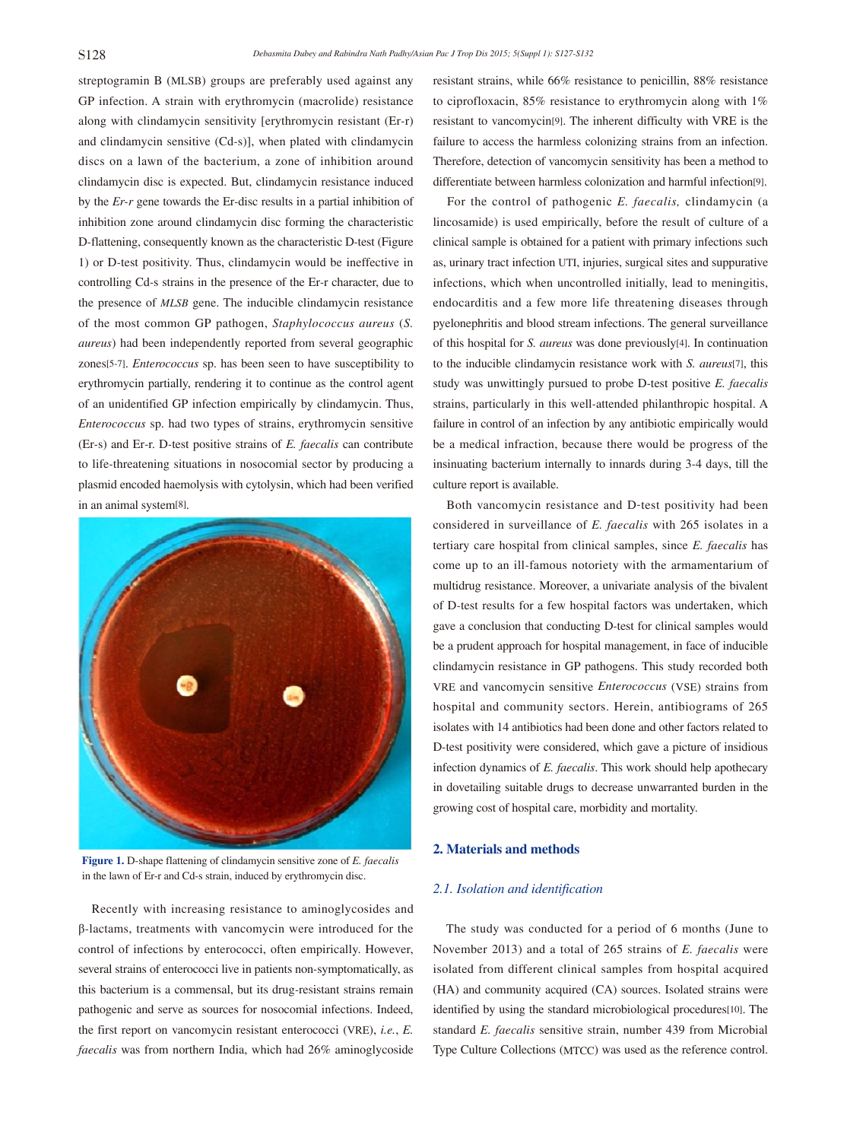streptogramin B (MLSB) groups are preferably used against any GP infection. A strain with erythromycin (macrolide) resistance along with clindamycin sensitivity [erythromycin resistant (Er*-*r) and clindamycin sensitive (Cd*-*s)], when plated with clindamycin discs on a lawn of the bacterium, a zone of inhibition around clindamycin disc is expected. But, clindamycin resistance induced by the *Er-r* gene towards the Er*-*disc results in a partial inhibition of inhibition zone around clindamycin disc forming the characteristic D*-*flattening, consequently known as the characteristic D*-*test (Figure 1) or D*-*test positivity. Thus, clindamycin would be ineffective in controlling Cd*-*s strains in the presence of the Er*-*r character, due to the presence of *MLSB* gene. The inducible clindamycin resistance of the most common GP pathogen, *Staphylococcus aureus* (*S. aureus*) had been independently reported from several geographic zones[5-7]. *Enterococcus* sp. has been seen to have susceptibility to erythromycin partially, rendering it to continue as the control agent of an unidentified GP infection empirically by clindamycin. Thus, *Enterococcus* sp. had two types of strains, erythromycin sensitive (Er*-*s) and Er*-*r. D*-*test positive strains of *E. faecalis* can contribute to life*-*threatening situations in nosocomial sector by producing a plasmid encoded haemolysis with cytolysin, which had been verified in an animal system[8].



**Figure 1.** D*-*shape flattening of clindamycin sensitive zone of *E. faecalis* in the lawn of Er-r and Cd-s strain, induced by erythromycin disc.

 Recently with increasing resistance to aminoglycosides and β*-*lactams, treatments with vancomycin were introduced for the control of infections by enterococci, often empirically. However, several strains of enterococci live in patients non*-*symptomatically, as this bacterium is a commensal, but its drug*-*resistant strains remain pathogenic and serve as sources for nosocomial infections. Indeed, the first report on vancomycin resistant enterococci (VRE), *i.e.*, *E. faecalis* was from northern India, which had 26% aminoglycoside

resistant strains, while 66% resistance to penicillin, 88% resistance to ciprofloxacin, 85% resistance to erythromycin along with 1% resistant to vancomycin[9]. The inherent difficulty with VRE is the failure to access the harmless colonizing strains from an infection. Therefore, detection of vancomycin sensitivity has been a method to differentiate between harmless colonization and harmful infection[9].

 For the control of pathogenic *E. faecalis,* clindamycin (a lincosamide) is used empirically, before the result of culture of a clinical sample is obtained for a patient with primary infections such as, urinary tract infection UTI, injuries, surgical sites and suppurative infections, which when uncontrolled initially, lead to meningitis, endocarditis and a few more life threatening diseases through pyelonephritis and blood stream infections. The general surveillance of this hospital for *S. aureus* was done previously[4]. In continuation to the inducible clindamycin resistance work with *S. aureus*[7], this study was unwittingly pursued to probe D*-*test positive *E. faecalis* strains, particularly in this well*-*attended philanthropic hospital. A failure in control of an infection by any antibiotic empirically would be a medical infraction, because there would be progress of the insinuating bacterium internally to innards during 3*-*4 days, till the culture report is available.

 Both vancomycin resistance and D*-*test positivity had been considered in surveillance of *E. faecalis* with 265 isolates in a tertiary care hospital from clinical samples, since *E. faecalis* has come up to an ill*-*famous notoriety with the armamentarium of multidrug resistance. Moreover, a univariate analysis of the bivalent of D*-*test results for a few hospital factors was undertaken, which gave a conclusion that conducting D*-*test for clinical samples would be a prudent approach for hospital management, in face of inducible clindamycin resistance in GP pathogens. This study recorded both VRE and vancomycin sensitive *Enterococcus* (VSE) strains from hospital and community sectors. Herein, antibiograms of 265 isolates with 14 antibiotics had been done and other factors related to D*-*test positivity were considered, which gave a picture of insidious infection dynamics of *E. faecalis*. This work should help apothecary in dovetailing suitable drugs to decrease unwarranted burden in the growing cost of hospital care, morbidity and mortality.

#### **2. Materials and methods**

## *2.1. Isolation and identification*

 The study was conducted for a period of 6 months (June to November 2013) and a total of 265 strains of *E. faecalis* were isolated from different clinical samples from hospital acquired (HA) and community acquired (CA) sources. Isolated strains were identified by using the standard microbiological procedures[10]. The standard *E. faecalis* sensitive strain, number 439 from Microbial Type Culture Collections (MTCC) was used as the reference control.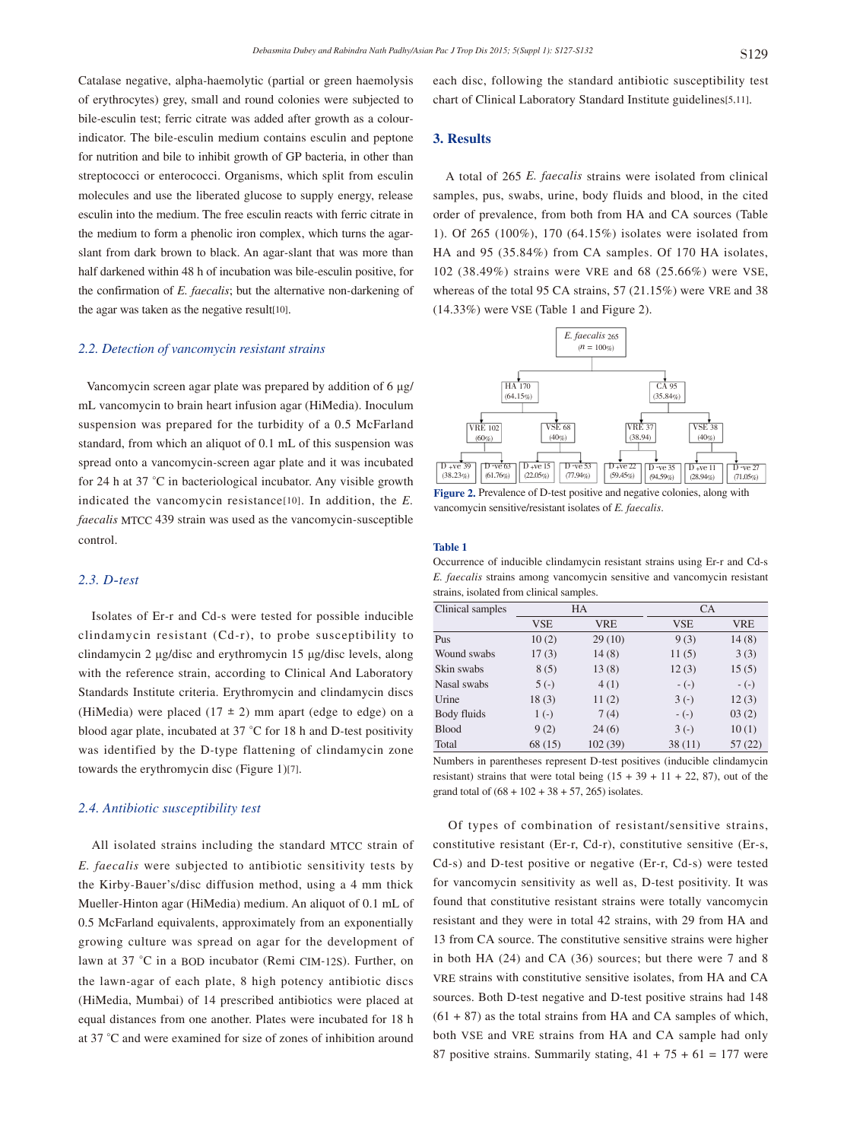Catalase negative, alpha*-*haemolytic (partial or green haemolysis of erythrocytes) grey, small and round colonies were subjected to bile*-*esculin test; ferric citrate was added after growth as a colourindicator. The bile*-*esculin medium contains esculin and peptone for nutrition and bile to inhibit growth of GP bacteria, in other than streptococci or enterococci. Organisms, which split from esculin molecules and use the liberated glucose to supply energy, release esculin into the medium. The free esculin reacts with ferric citrate in the medium to form a phenolic iron complex, which turns the agarslant from dark brown to black. An agar*-*slant that was more than half darkened within 48 h of incubation was bile*-*esculin positive, for the confirmation of *E. faecalis*; but the alternative non*-*darkening of the agar was taken as the negative result[10].

#### *2.2. Detection of vancomycin resistant strains*

 Vancomycin screen agar plate was prepared by addition of 6 μg/ mL vancomycin to brain heart infusion agar (HiMedia). Inoculum suspension was prepared for the turbidity of a 0.5 McFarland standard, from which an aliquot of 0.1 mL of this suspension was spread onto a vancomycin*-*screen agar plate and it was incubated for 24 h at 37 °C in bacteriological incubator. Any visible growth indicated the vancomycin resistance[10]. In addition, the *E. faecalis* MTCC 439 strain was used as the vancomycin*-*susceptible control.

## *2.3. D-test*

 Isolates of Er*-*r and Cd*-*s were tested for possible inducible clindamycin resistant (Cd*-*r), to probe susceptibility to clindamycin 2 μg/disc and erythromycin 15 μg/disc levels, along with the reference strain, according to Clinical And Laboratory Standards Institute criteria. Erythromycin and clindamycin discs (HiMedia) were placed  $(17 \pm 2)$  mm apart (edge to edge) on a blood agar plate, incubated at 37 °C for 18 h and D*-*test positivity was identified by the D*-*type flattening of clindamycin zone towards the erythromycin disc (Figure 1)[7].

## *2.4. Antibiotic susceptibility test*

 All isolated strains including the standard MTCC strain of *E. faecalis* were subjected to antibiotic sensitivity tests by the Kirby*-*Bauer's/disc diffusion method, using a 4 mm thick Mueller*-*Hinton agar (HiMedia) medium. An aliquot of 0.1 mL of 0.5 McFarland equivalents, approximately from an exponentially growing culture was spread on agar for the development of lawn at 37 °C in a BOD incubator (Remi CIM*-*12S). Further, on the lawn*-*agar of each plate, 8 high potency antibiotic discs (HiMedia, Mumbai) of 14 prescribed antibiotics were placed at equal distances from one another. Plates were incubated for 18 h at 37 °C and were examined for size of zones of inhibition around each disc, following the standard antibiotic susceptibility test chart of Clinical Laboratory Standard Institute guidelines[5,11].

#### **3. Results**

 A total of 265 *E. faecalis* strains were isolated from clinical samples, pus, swabs, urine, body fluids and blood, in the cited order of prevalence, from both from HA and CA sources (Table 1). Of 265 (100%), 170 (64.15%) isolates were isolated from HA and 95 (35.84%) from CA samples. Of 170 HA isolates, 102 (38.49%) strains were VRE and 68 (25.66%) were VSE, whereas of the total 95 CA strains, 57 (21.15%) were VRE and 38 (14.33%) were VSE (Table 1 and Figure 2).



**Figure 2.** Prevalence of D*-*test positive and negative colonies, along with vancomycin sensitive/resistant isolates of *E. faecalis*.

#### **Table 1**

Occurrence of inducible clindamycin resistant strains using Er-r and Cd-s *E. faecalis* strains among vancomycin sensitive and vancomycin resistant strains, isolated from clinical samples.

| Clinical samples | <b>HA</b>  |            | <b>CA</b>  |            |
|------------------|------------|------------|------------|------------|
|                  | <b>VSE</b> | <b>VRE</b> | <b>VSE</b> | <b>VRE</b> |
| Pus              | 10(2)      | 29(10)     | 9(3)       | 14(8)      |
| Wound swabs      | 17(3)      | 14(8)      | 11(5)      | 3(3)       |
| Skin swabs       | 8(5)       | 13(8)      | 12(3)      | 15(5)      |
| Nasal swabs      | $5(-)$     | 4(1)       | $-(-)$     | $-(-)$     |
| Urine            | 18(3)      | 11(2)      | $3(-)$     | 12(3)      |
| Body fluids      | $1(-)$     | 7(4)       | $-(-)$     | 03(2)      |
| <b>Blood</b>     | 9(2)       | 24(6)      | $3(-)$     | 10(1)      |
| Total            | 68(15)     | 102(39)    | 38(11)     | 57(22)     |

Numbers in parentheses represent D*-*test positives (inducible clindamycin resistant) strains that were total being  $(15 + 39 + 11 + 22, 87)$ , out of the grand total of  $(68 + 102 + 38 + 57, 265)$  isolates.

 Of types of combination of resistant/sensitive strains, constitutive resistant (Er*-*r, Cd*-*r), constitutive sensitive (Er*-*s, Cd*-*s) and D*-*test positive or negative (Er*-*r, Cd*-*s) were tested for vancomycin sensitivity as well as, D*-*test positivity. It was found that constitutive resistant strains were totally vancomycin resistant and they were in total 42 strains, with 29 from HA and 13 from CA source. The constitutive sensitive strains were higher in both HA (24) and CA (36) sources; but there were 7 and 8 VRE strains with constitutive sensitive isolates, from HA and CA sources. Both D*-*test negative and D*-*test positive strains had 148  $(61 + 87)$  as the total strains from HA and CA samples of which, both VSE and VRE strains from HA and CA sample had only 87 positive strains. Summarily stating,  $41 + 75 + 61 = 177$  were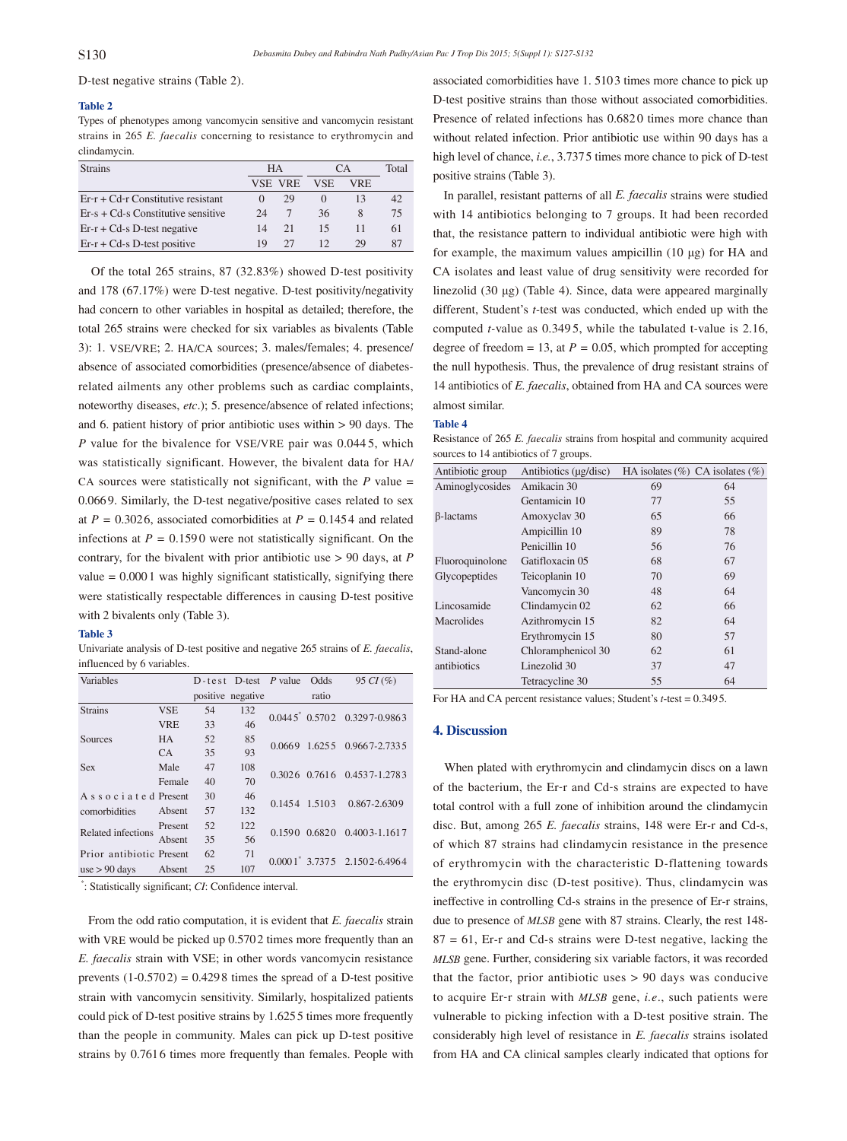D*-*test negative strains (Table 2).

#### **Table 2**

Types of phenotypes among vancomycin sensitive and vancomycin resistant strains in 265 *E. faecalis* concerning to resistance to erythromycin and clindamycin.

| <b>Strains</b>                       | НA |         | CА         |      | Total |
|--------------------------------------|----|---------|------------|------|-------|
|                                      |    | VSE VRE | <b>VSE</b> | VRE. |       |
| $Er-r + Cd-r$ Constitutive resistant |    | 29      |            |      | 42    |
| $Er-s + Cd-s$ Constitutive sensitive | 24 |         | 36         | 8    | 75    |
| $Er-r + Cd-s$ D-test negative        | 14 | 21      | 15         | 11   | 61    |
| $Er-r + Cd-s$ D-test positive        | 19 | 27      | 12         | 29   | 87    |

 Of the total 265 strains, 87 (32.83%) showed D*-*test positivity and 178 (67.17%) were D*-*test negative. D*-*test positivity/negativity had concern to other variables in hospital as detailed; therefore, the total 265 strains were checked for six variables as bivalents (Table 3): 1. VSE/VRE; 2. HA/CA sources; 3. males/females; 4. presence/ absence of associated comorbidities (presence/absence of diabetesrelated ailments any other problems such as cardiac complaints, noteworthy diseases, *etc*.); 5. presence/absence of related infections; and 6. patient history of prior antibiotic uses within > 90 days. The *P* value for the bivalence for VSE/VRE pair was 0.0445, which was statistically significant. However, the bivalent data for HA/ CA sources were statistically not significant, with the  $P$  value = 0.0669. Similarly, the D*-*test negative/positive cases related to sex at  $P = 0.3026$ , associated comorbidities at  $P = 0.1454$  and related infections at  $P = 0.1590$  were not statistically significant. On the contrary, for the bivalent with prior antibiotic use > 90 days, at *P*  value  $= 0.0001$  was highly significant statistically, signifying there were statistically respectable differences in causing D*-*test positive with 2 bivalents only (Table 3).

#### **Table 3**

Univariate analysis of D*-*test positive and negative 265 strains of *E. faecalis*, influenced by 6 variables.

| Variables                |            |    | $D-test$ D-test <i>P</i> value |               | Odds                            | 95 $CI$ (%)                         |
|--------------------------|------------|----|--------------------------------|---------------|---------------------------------|-------------------------------------|
|                          |            |    | positive negative              |               | ratio                           |                                     |
| <b>Strains</b>           | <b>VSE</b> | 54 | 132                            |               |                                 | $0.0445^*$ $0.5702$ $0.3297-0.9863$ |
|                          | <b>VRE</b> | 33 | 46                             |               |                                 |                                     |
| Sources                  | <b>HA</b>  | 52 | 85                             | 0.0669        |                                 | 1.6255 0.9667-2.7335                |
|                          | CA.        | 35 | 93                             |               |                                 |                                     |
| <b>Sex</b>               | Male       | 47 | 108                            |               |                                 | 0.3026 0.7616 0.4537-1.2783         |
|                          | Female     | 40 | 70                             |               |                                 |                                     |
| Associated Present       |            | 30 | 46                             | 0.1454 1.5103 |                                 | 0.867-2.6309                        |
| comorbidities            | Absent     | 57 | 132                            |               |                                 |                                     |
| Related infections       | Present    | 52 | 122                            | 0.1590        | 0.6820                          | $0.4003 - 1.1617$                   |
|                          | Absent     | 35 | 56                             |               |                                 |                                     |
| Prior antibiotic Present |            | 62 | 71                             |               | $0.0001^*$ 3.7375 2.1502-6.4964 |                                     |
| $use > 90$ days          | Absent     | 25 | 107                            |               |                                 |                                     |

\* : Statistically significant; *CI*: Confidence interval.

 From the odd ratio computation, it is evident that *E. faecalis* strain with VRE would be picked up 0.5702 times more frequently than an *E. faecalis* strain with VSE; in other words vancomycin resistance prevents  $(1-0.5702) = 0.4298$  times the spread of a D-test positive strain with vancomycin sensitivity. Similarly, hospitalized patients could pick of D*-*test positive strains by 1.6255 times more frequently than the people in community. Males can pick up D*-*test positive strains by 0.7616 times more frequently than females. People with associated comorbidities have 1. 5103 times more chance to pick up D*-*test positive strains than those without associated comorbidities. Presence of related infections has  $0.6820$  times more chance than without related infection. Prior antibiotic use within 90 days has a high level of chance, *i.e.*, 3.7375 times more chance to pick of D*-*test positive strains (Table 3).

 In parallel, resistant patterns of all *E. faecalis* strains were studied with 14 antibiotics belonging to 7 groups. It had been recorded that, the resistance pattern to individual antibiotic were high with for example, the maximum values ampicillin (10 μg) for HA and CA isolates and least value of drug sensitivity were recorded for linezolid (30 μg) (Table 4). Since, data were appeared marginally different, Student's *t-*test was conducted, which ended up with the computed *t-*value as 0.349 5, while the tabulated t*-*value is 2.16, degree of freedom = 13, at  $P = 0.05$ , which prompted for accepting the null hypothesis. Thus, the prevalence of drug resistant strains of 14 antibiotics of *E. faecalis*, obtained from HA and CA sources were almost similar.

#### **Table 4**

Resistance of 265 *E. faecalis* strains from hospital and community acquired sources to 14 antibiotics of 7 groups.

| Antibiotic group | Antibiotics (µg/disc)   |    | HA isolates $(\%)$ CA isolates $(\%)$ |  |
|------------------|-------------------------|----|---------------------------------------|--|
| Aminoglycosides  | Amikacin 30             | 69 | 64                                    |  |
|                  | Gentamicin 10           | 77 | 55                                    |  |
| β-lactams        | Amoxyclav <sub>30</sub> | 65 | 66                                    |  |
|                  | Ampicillin 10           | 89 | 78                                    |  |
|                  | Penicillin 10           | 56 | 76                                    |  |
| Fluoroquinolone  | Gatifloxacin 05         | 68 | 67                                    |  |
| Glycopeptides    | Teicoplanin 10          | 70 | 69                                    |  |
|                  | Vancomycin 30           | 48 | 64                                    |  |
| Lincosamide      | Clindamycin 02          | 62 | 66                                    |  |
| Macrolides       | Azithromycin 15         | 82 | 64                                    |  |
|                  | Erythromycin 15         | 80 | 57                                    |  |
| Stand-alone      | Chloramphenicol 30      | 62 | 61                                    |  |
| antibiotics      | Linezolid 30            | 37 | 47                                    |  |
|                  | Tetracycline 30         | 55 | 64                                    |  |

For HA and CA percent resistance values; Student's *t*-test = 0.3495.

#### **4. Discussion**

 When plated with erythromycin and clindamycin discs on a lawn of the bacterium, the Er*-*r and Cd*-*s strains are expected to have total control with a full zone of inhibition around the clindamycin disc. But, among 265 *E. faecalis* strains, 148 were Er*-*r and Cd*-*s, of which 87 strains had clindamycin resistance in the presence of erythromycin with the characteristic D*-*flattening towards the erythromycin disc (D*-*test positive). Thus, clindamycin was ineffective in controlling Cd*-*s strains in the presence of Er*-*r strains, due to presence of *MLSB* gene with 87 strains. Clearly, the rest 148*-* 87 = 61, Er*-*r and Cd*-*s strains were D*-*test negative, lacking the *MLSB* gene. Further, considering six variable factors, it was recorded that the factor, prior antibiotic uses > 90 days was conducive to acquire Er*-*r strain with *MLSB* gene, *i.e*., such patients were vulnerable to picking infection with a D*-*test positive strain. The considerably high level of resistance in *E. faecalis* strains isolated from HA and CA clinical samples clearly indicated that options for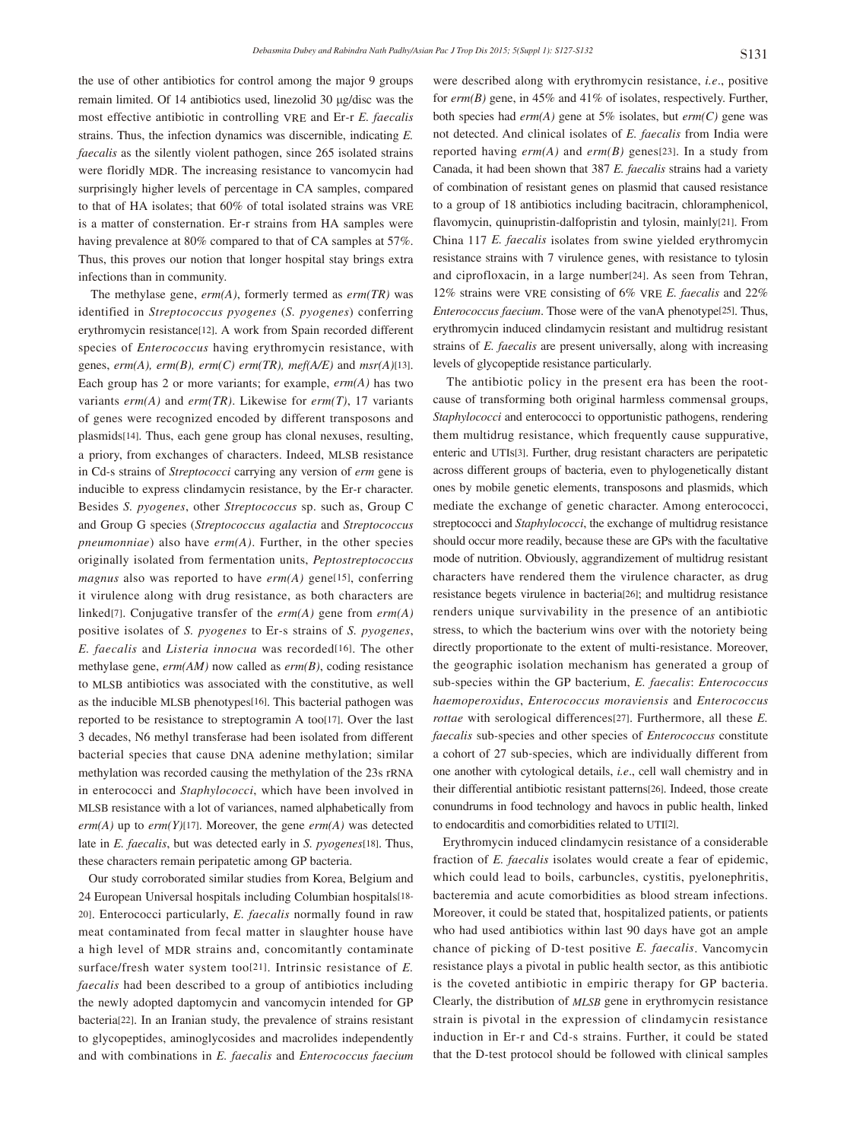the use of other antibiotics for control among the major 9 groups remain limited. Of 14 antibiotics used, linezolid 30 μg/disc was the most effective antibiotic in controlling VRE and Er*-*r *E. faecalis* strains. Thus, the infection dynamics was discernible, indicating *E. faecalis* as the silently violent pathogen, since 265 isolated strains were floridly MDR. The increasing resistance to vancomycin had surprisingly higher levels of percentage in CA samples, compared to that of HA isolates; that 60% of total isolated strains was VRE is a matter of consternation. Er*-*r strains from HA samples were having prevalence at 80% compared to that of CA samples at 57%. Thus, this proves our notion that longer hospital stay brings extra infections than in community.

 The methylase gene, *erm(A)*, formerly termed as *erm(TR)* was identified in *Streptococcus pyogenes* (*S. pyogenes*) conferring erythromycin resistance[12]. A work from Spain recorded different species of *Enterococcus* having erythromycin resistance, with genes, *erm(A), erm(B), erm(C) erm(TR), mef(A/E)* and *msr(A)*[13]. Each group has 2 or more variants; for example, *erm(A)* has two variants *erm(A)* and *erm(TR)*. Likewise for *erm(T)*, 17 variants of genes were recognized encoded by different transposons and plasmids[14]. Thus, each gene group has clonal nexuses, resulting, a priory, from exchanges of characters. Indeed, MLSB resistance in Cd*-*s strains of *Streptococci* carrying any version of *erm* gene is inducible to express clindamycin resistance, by the Er*-*r character. Besides *S. pyogenes*, other *Streptococcus* sp. such as, Group C and Group G species (*Streptococcus agalactia* and *Streptococcus pneumonniae*) also have *erm(A)*. Further, in the other species originally isolated from fermentation units, *Peptostreptococcus magnus* also was reported to have *erm(A)* gene[15], conferring it virulence along with drug resistance, as both characters are linked[7]. Conjugative transfer of the *erm(A)* gene from *erm(A)* positive isolates of *S. pyogenes* to Er*-*s strains of *S. pyogenes*, *E. faecalis* and *Listeria innocua* was recorded[16]. The other methylase gene, *erm(AM)* now called as *erm(B)*, coding resistance to MLSB antibiotics was associated with the constitutive, as well as the inducible MLSB phenotypes[16]. This bacterial pathogen was reported to be resistance to streptogramin A too[17]. Over the last 3 decades, N6 methyl transferase had been isolated from different bacterial species that cause DNA adenine methylation; similar methylation was recorded causing the methylation of the 23s rRNA in enterococci and *Staphylococci*, which have been involved in MLSB resistance with a lot of variances, named alphabetically from  $erm(A)$  up to  $erm(Y)[17]$ . Moreover, the gene  $erm(A)$  was detected late in *E. faecalis*, but was detected early in *S. pyogenes*[18]. Thus, these characters remain peripatetic among GP bacteria.

 Our study corroborated similar studies from Korea, Belgium and 24 European Universal hospitals including Columbian hospitals[18- 20]. Enterococci particularly, *E. faecalis* normally found in raw meat contaminated from fecal matter in slaughter house have a high level of MDR strains and, concomitantly contaminate surface/fresh water system too[21]. Intrinsic resistance of *E. faecalis* had been described to a group of antibiotics including the newly adopted daptomycin and vancomycin intended for GP bacteria[22]. In an Iranian study, the prevalence of strains resistant to glycopeptides, aminoglycosides and macrolides independently and with combinations in *E. faecalis* and *Enterococcus faecium*

were described along with erythromycin resistance, *i.e*., positive for *erm(B)* gene, in 45% and 41% of isolates, respectively. Further, both species had *erm(A)* gene at 5% isolates, but *erm(C)* gene was not detected. And clinical isolates of *E. faecalis* from India were reported having *erm(A)* and *erm(B)* genes[23]. In a study from Canada, it had been shown that 387 *E. faecalis* strains had a variety of combination of resistant genes on plasmid that caused resistance to a group of 18 antibiotics including bacitracin, chloramphenicol, flavomycin, quinupristin*-*dalfopristin and tylosin, mainly[21]. From China 117 *E. faecalis* isolates from swine yielded erythromycin resistance strains with 7 virulence genes, with resistance to tylosin and ciprofloxacin, in a large number[24]. As seen from Tehran, 12% strains were VRE consisting of 6% VRE *E. faecalis* and 22% *Enterococcus faecium*. Those were of the vanA phenotype[25]. Thus, erythromycin induced clindamycin resistant and multidrug resistant strains of *E. faecalis* are present universally, along with increasing levels of glycopeptide resistance particularly.

 The antibiotic policy in the present era has been the rootcause of transforming both original harmless commensal groups, *Staphylococci* and enterococci to opportunistic pathogens, rendering them multidrug resistance, which frequently cause suppurative, enteric and UTIs[3]. Further, drug resistant characters are peripatetic across different groups of bacteria, even to phylogenetically distant ones by mobile genetic elements, transposons and plasmids, which mediate the exchange of genetic character. Among enterococci, streptococci and *Staphylococci*, the exchange of multidrug resistance should occur more readily, because these are GPs with the facultative mode of nutrition. Obviously, aggrandizement of multidrug resistant characters have rendered them the virulence character, as drug resistance begets virulence in bacteria[26]; and multidrug resistance renders unique survivability in the presence of an antibiotic stress, to which the bacterium wins over with the notoriety being directly proportionate to the extent of multi*-*resistance. Moreover, the geographic isolation mechanism has generated a group of sub*-*species within the GP bacterium, *E. faecalis*: *Enterococcus haemoperoxidus*, *Enterococcus moraviensis* and *Enterococcus rottae* with serological differences<sup>[27]</sup>. Furthermore, all these *E*. *faecalis* sub*-*species and other species of *Enterococcus* constitute a cohort of 27 sub*-*species, which are individually different from one another with cytological details, *i.e*., cell wall chemistry and in their differential antibiotic resistant patterns[26]. Indeed, those create conundrums in food technology and havocs in public health, linked to endocarditis and comorbidities related to UTI[2].

 Erythromycin induced clindamycin resistance of a considerable fraction of *E. faecalis* isolates would create a fear of epidemic, which could lead to boils, carbuncles, cystitis, pyelonephritis, bacteremia and acute comorbidities as blood stream infections. Moreover, it could be stated that, hospitalized patients, or patients who had used antibiotics within last 90 days have got an ample chance of picking of D*-*test positive *E. faecalis*. Vancomycin resistance plays a pivotal in public health sector, as this antibiotic is the coveted antibiotic in empiric therapy for GP bacteria. Clearly, the distribution of *MLSB* gene in erythromycin resistance strain is pivotal in the expression of clindamycin resistance induction in Er*-*r and Cd*-*s strains. Further, it could be stated that the D*-*test protocol should be followed with clinical samples